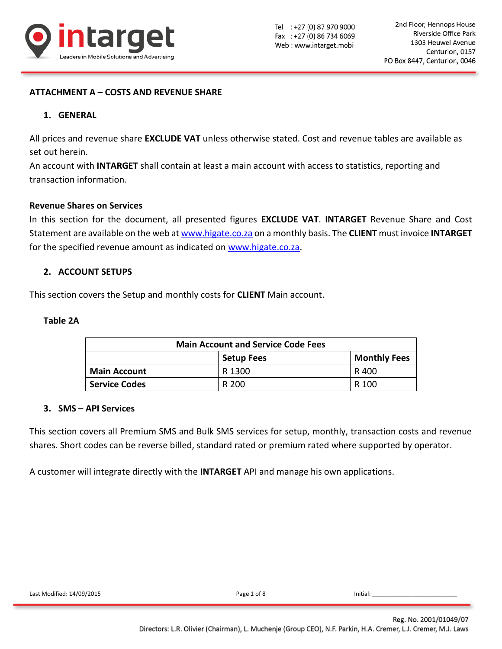

## **ATTACHMENT A – COSTS AND REVENUE SHARE**

### **1. GENERAL**

All prices and revenue share **EXCLUDE VAT** unless otherwise stated. Cost and revenue tables are available as set out herein.

An account with **INTARGET** shall contain at least a main account with access to statistics, reporting and transaction information.

#### **Revenue Shares on Services**

In this section for the document, all presented figures **EXCLUDE VAT**. **INTARGET** Revenue Share and Cost Statement are available on the web at [www.higate.co.za](http://www.higate.co.za/) on a monthly basis. The **CLIENT** must invoice **INTARGET** for the specified revenue amount as indicated on [www.higate.co.za.](http://www.higate.co.za/)

### **2. ACCOUNT SETUPS**

This section covers the Setup and monthly costs for **CLIENT** Main account.

### **Table 2A**

| <b>Main Account and Service Code Fees</b> |        |       |  |  |  |  |  |
|-------------------------------------------|--------|-------|--|--|--|--|--|
| <b>Monthly Fees</b><br><b>Setup Fees</b>  |        |       |  |  |  |  |  |
| <b>Main Account</b>                       | R 1300 | R 400 |  |  |  |  |  |
| <b>Service Codes</b>                      | R 200  | R 100 |  |  |  |  |  |

### **3. SMS – API Services**

This section covers all Premium SMS and Bulk SMS services for setup, monthly, transaction costs and revenue shares. Short codes can be reverse billed, standard rated or premium rated where supported by operator.

A customer will integrate directly with the **INTARGET** API and manage his own applications.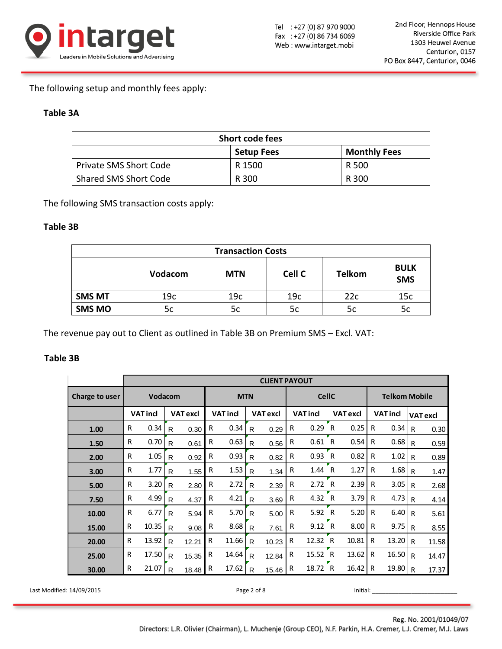

The following setup and monthly fees apply:

## **Table 3A**

| <b>Short code fees</b>            |        |       |  |  |  |  |  |
|-----------------------------------|--------|-------|--|--|--|--|--|
| <b>Monthly Fees</b><br>Setup Fees |        |       |  |  |  |  |  |
| <b>Private SMS Short Code</b>     | R 1500 | R 500 |  |  |  |  |  |
| Shared SMS Short Code             | R 300  | R 300 |  |  |  |  |  |

The following SMS transaction costs apply:

## **Table 3B**

| <b>Transaction Costs</b> |                |            |                 |               |                           |  |  |  |
|--------------------------|----------------|------------|-----------------|---------------|---------------------------|--|--|--|
|                          | <b>Vodacom</b> | <b>MTN</b> | Cell C          | <b>Telkom</b> | <b>BULK</b><br><b>SMS</b> |  |  |  |
| <b>SMS MT</b>            | 19c            | 19c        | 19 <sub>c</sub> | 22c           | 15c                       |  |  |  |
| <b>SMS MO</b>            | 5c             | 5c         | 5c              | 5c            | 5c                        |  |  |  |

The revenue pay out to Client as outlined in Table 3B on Premium SMS – Excl. VAT:

## **Table 3B**

|                |                | <b>CLIENT PAYOUT</b> |              |                 |   |                 |              |                 |                 |       |              |                      |                 |       |                 |       |
|----------------|----------------|----------------------|--------------|-----------------|---|-----------------|--------------|-----------------|-----------------|-------|--------------|----------------------|-----------------|-------|-----------------|-------|
| Charge to user | <b>Vodacom</b> |                      |              | <b>MTN</b>      |   |                 |              | <b>CellC</b>    |                 |       |              | <b>Telkom Mobile</b> |                 |       |                 |       |
|                |                | <b>VAT incl</b>      |              | <b>VAT excl</b> |   | <b>VAT incl</b> |              | <b>VAT excl</b> | <b>VAT incl</b> |       |              | <b>VAT excl</b>      | <b>VAT incl</b> |       | <b>VAT excl</b> |       |
| 1.00           | R              | 0.34                 | R            | 0.30            | R | 0.34            | R            | 0.29            | R               | 0.29  | R            | 0.25                 | R               | 0.34  | R               | 0.30  |
| 1.50           | R              | 0.70                 | R            | 0.61            | R | 0.63            | R            | 0.56            | R               | 0.61  | $\mathsf{R}$ | 0.54                 | R               | 0.68  | R               | 0.59  |
| 2.00           | R              | 1.05                 | R            | 0.92            | R | 0.93            | R            | 0.82            | R               | 0.93  | R            | 0.82                 | R               | 1.02  | R               | 0.89  |
| 3.00           | R              | 1.77                 | R            | 1.55            | R | 1.53            | R            | 1.34            | R               | 1.44  | R            | 1.27                 | R               | 1.68  | R               | 1.47  |
| 5.00           | R              | 3.20                 | R            | 2.80            | R | 2.72            | R            | 2.39            | R               | 2.72  | R            | 2.39                 | R               | 3.05  | R               | 2.68  |
| 7.50           | R              | 4.99                 | R            | 4.37            | R | 4.21            | $\mathsf{R}$ | 3.69            | R               | 4.32  | R            | 3.79                 | R               | 4.73  | R               | 4.14  |
| 10.00          | R              | 6.77                 | R            | 5.94            | R | 5.70            | R            | 5.00            | R               | 5.92  | R            | 5.20                 | R               | 6.40  | R               | 5.61  |
| 15.00          | R              | 10.35                | R            | 9.08            | R | 8.68            | R            | 7.61            | R               | 9.12  | R            | 8.00                 | R               | 9.75  | R               | 8.55  |
| 20.00          | R              | 13.92                | R            | 12.21           | R | 11.66           | R            | 10.23           | R               | 12.32 | R            | 10.81                | R               | 13.20 | R               | 11.58 |
| 25.00          | R              | 17.50                | R            | 15.35           | R | 14.64           | R            | 12.84           | R               | 15.52 | R            | 13.62                | R               | 16.50 | R               | 14.47 |
| 30.00          | R              | 21.07                | $\mathsf{R}$ | 18.48           | R | 17.62           | R            | 15.46           | R               | 18.72 | R            | 16.42                | R               | 19.80 | R               | 17.37 |

Last Modified: 14/09/2015 **Page 2 of 8 Page 2 of 8** Initial: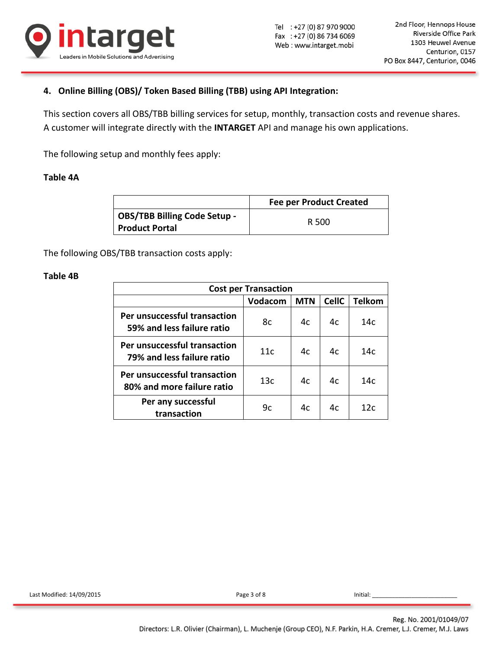

# **4. Online Billing (OBS)/ Token Based Billing (TBB) using API Integration:**

This section covers all OBS/TBB billing services for setup, monthly, transaction costs and revenue shares. A customer will integrate directly with the **INTARGET** API and manage his own applications.

The following setup and monthly fees apply:

### **Table 4A**

|                                                              | <b>Fee per Product Created</b> |
|--------------------------------------------------------------|--------------------------------|
| <b>OBS/TBB Billing Code Setup -</b><br><b>Product Portal</b> | R 500                          |

The following OBS/TBB transaction costs apply:

### **Table 4B**

| <b>Cost per Transaction</b>                                |         |            |              |                 |  |  |  |
|------------------------------------------------------------|---------|------------|--------------|-----------------|--|--|--|
|                                                            | Vodacom | <b>MTN</b> | <b>CellC</b> | <b>Telkom</b>   |  |  |  |
| Per unsuccessful transaction<br>59% and less failure ratio | 8c      | 4c         | 4c           | 14c             |  |  |  |
| Per unsuccessful transaction<br>79% and less failure ratio | 11c     | 4c         | 4c           | 14с             |  |  |  |
| Per unsuccessful transaction<br>80% and more failure ratio | 13c     | 4c         | 4c           | 14c             |  |  |  |
| Per any successful<br>transaction                          | 9c      | 4c         | 4c           | 12 <sub>c</sub> |  |  |  |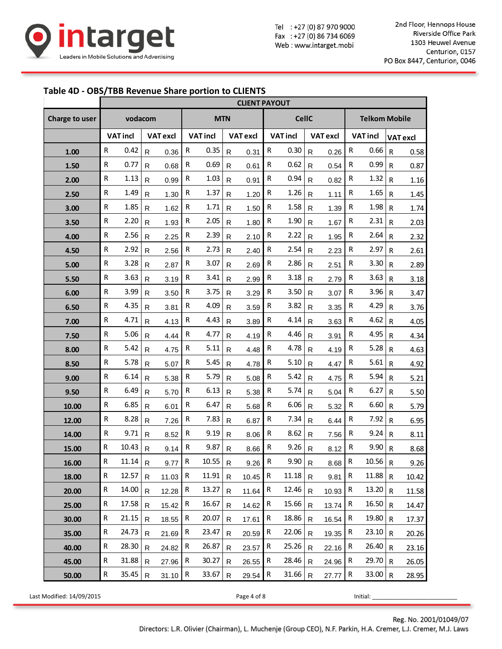

Tel : +27 (0) 87 970 9000 Fax: +27 (0) 86 734 6069 Web: www.intarget.mobi

#### **Table 4D - OBS/TBB Revenue Share portion to CLIENTS**

|                |              |                 |              |                 |              |                      |              | <b>CLIENT PAYOUT</b> |              |                 |              |                 |              |                      |              |                 |  |
|----------------|--------------|-----------------|--------------|-----------------|--------------|----------------------|--------------|----------------------|--------------|-----------------|--------------|-----------------|--------------|----------------------|--------------|-----------------|--|
| Charge to user |              | vodacom         |              |                 | <b>MTN</b>   |                      |              |                      | <b>CellC</b> |                 |              |                 |              | <b>Telkom Mobile</b> |              |                 |  |
|                |              | <b>VAT incl</b> |              | <b>VAT excl</b> |              | <b>VAT incl</b>      |              | <b>VAT excl</b>      |              | <b>VAT incl</b> |              | <b>VAT excl</b> |              | <b>VAT incl</b>      |              | <b>VAT excl</b> |  |
| 1.00           | R            | 0.42            | $\mathsf{R}$ | 0.36            | ${\sf R}$    | 0.35                 | $\mathsf{R}$ | 0.31                 | R            | 0.30            | $\mathsf{R}$ | 0.26            | ${\sf R}$    | 0.66                 | $\mathsf{R}$ | 0.58            |  |
| 1.50           | ${\sf R}$    | 0.77            | $\mathsf{R}$ | 0.68            | ${\sf R}$    | 0.69                 | R            | 0.61                 | ${\sf R}$    | 0.62            | R            | 0.54            | R            | 0.99                 | $\mathsf{R}$ | 0.87            |  |
| 2.00           | $\mathsf{R}$ | 1.13            | $\mathsf{R}$ | 0.99            | $\mathsf R$  | 1.03                 | R            | 0.91                 | R            | 0.94            | $\mathsf{R}$ | 0.82            | R            | 1.32                 | R            | 1.16            |  |
| 2.50           | R            | 1.49            | $\mathsf{R}$ | 1.30            | R            | 1.37                 | R            | 1.20                 | R            | 1.26            | R            | 1.11            | R            | 1.65                 | $\mathsf{R}$ | 1.45            |  |
| 3.00           | R            | 1.85            | $\mathsf{R}$ | 1.62            | ${\sf R}$    | 1.71                 | $\mathsf{R}$ | 1.50                 | ${\sf R}$    | 1.58            | R            | 1.39            | R            | 1.98                 | $\mathsf{R}$ | 1.74            |  |
| 3.50           | ${\sf R}$    | 2.20            | $\mathsf{R}$ | 1.93            | ${\sf R}$    | 2.05                 | $\mathsf{R}$ | 1.80                 | ${\sf R}$    | 1.90            | $\mathsf{R}$ | 1.67            | ${\sf R}$    | 2.31                 | $\mathsf{R}$ | 2.03            |  |
| 4.00           | R            | 2.56            | $\mathsf{R}$ | 2.25            | ${\sf R}$    | 2.39                 | R            | 2.10                 | R            | 2.22            | $\mathsf{R}$ | 1.95            | R            | 2.64                 | $\mathsf{R}$ | 2.32            |  |
| 4.50           | R            | 2.92            | ${\sf R}$    | 2.56            | R            | 2.73                 | $\mathsf{R}$ | 2.40                 | R            | 2.54            | ${\sf R}$    | 2.23            | R            | 2.97                 | $\mathsf{R}$ | 2.61            |  |
| 5.00           | R            | 3.28            | $\mathsf{R}$ | 2.87            | R            | 3.07                 | $\mathsf{R}$ | 2.69                 | R            | 2.86            | $\mathsf{R}$ | 2.51            | R            | 3.30                 | $\mathsf{R}$ | 2.89            |  |
| 5.50           | ${\sf R}$    | 3.63            | $\mathsf{R}$ | 3.19            | ${\sf R}$    | 3.41                 | R            | 2.99                 | R            | 3.18            | R            | 2.79            | R            | 3.63                 | $\mathsf{R}$ | 3.18            |  |
| 6.00           | $\mathsf{R}$ | 3.99            | $\mathsf{R}$ | 3.50            | R            | 3.75                 | R            | 3.29                 | R            | 3.50            | $\mathsf{R}$ | 3.07            | R            | 3.96                 | $\mathsf{R}$ | 3.47            |  |
| 6.50           | R            | 4.35            | $\mathsf{R}$ | 3.81            | R            | 4.09                 | R            | 3.59                 | R            | 3.82            | R            | 3.35            | R            | 4.29                 | $\mathsf{R}$ | 3.76            |  |
| 7.00           | $\mathsf{R}$ | 4.71            | $\mathsf{R}$ | 4.13            | ${\sf R}$    | 4.43                 | R            | 3.89                 | R            | 4.14            | $\mathsf{R}$ | 3.63            | R            | 4.62                 | $\mathsf{R}$ | 4.05            |  |
| 7.50           | ${\sf R}$    | 5.06            | $\mathsf{R}$ | 4.44            | ${\sf R}$    | 4.77                 | R            | 4.19                 | ${\sf R}$    | 4.46            | $\mathsf{R}$ | 3.91            | ${\sf R}$    | 4.95                 | $\mathsf{R}$ | 4.34            |  |
| 8.00           | $\mathsf{R}$ | 5.42            | $\mathsf{R}$ | 4.75            | ${\sf R}$    | 5.11                 | R            | 4.48                 | R            | 4.78            | $\mathsf{R}$ | 4.19            | R            | 5.28                 | $\mathsf{R}$ | 4.63            |  |
| 8.50           | R            | 5.78            | $\mathsf{R}$ | 5.07            | R            | 5.45                 | R            | 4.78                 | R            | 5.10            | $\mathsf{R}$ | 4.47            | R            | 5.61                 | $\mathsf{R}$ | 4.92            |  |
| 9.00           | ${\sf R}$    | 6.14            | $\mathsf{R}$ | 5.38            | R            | 5.79                 | $\mathsf{R}$ | 5.08                 | R            | 5.42            | R            | 4.75            | R            | 5.94                 | $\mathsf{R}$ | 5.21            |  |
| 9.50           | ${\sf R}$    | 6.49            | $\mathsf{R}$ | 5.70            | ${\sf R}$    | 6.13                 | R            | 5.38                 | R            | 5.74            | R            | 5.04            | R            | 6.27                 | $\mathsf{R}$ | 5.50            |  |
| 10.00          | $\mathsf{R}$ | 6.85            | $\mathsf{R}$ | 6.01            | R            | 6.47                 | R            | 5.68                 | R            | 6.06            | $\mathsf{R}$ | 5.32            | $\mathsf{R}$ | 6.60                 | $\mathsf{R}$ | 5.79            |  |
| 12.00          | R            | 8.28            | $\mathsf{R}$ | 7.26            | ${\sf R}$    | 7.83                 | R            | 6.87                 | R            | 7.34            | R            | 6.44            | R            | 7.92                 | $\mathsf{R}$ | 6.95            |  |
| 14.00          | R            | 9.71            | $\mathsf{R}$ | 8.52            | ${\sf R}$    | 9.19                 | R            | 8.06                 | ${\sf R}$    | 8.62            | $\mathsf{R}$ | 7.56            | R            | 9.24                 | $\mathsf{R}$ | 8.11            |  |
| 15.00          | ${\sf R}$    | 10.43           | $\mathsf{R}$ | 9.14            | ${\sf R}$    | 9.87                 | $\mathsf{R}$ | 8.66                 | ${\sf R}$    | 9.26            | $\mathsf{R}$ | 8.12            | $\mathsf R$  | 9.90                 | $\mathsf{R}$ | 8.68            |  |
| 16.00          | ${\sf R}$    | $11.14$ R       |              | $9.77$ R        |              | $10.55$ R            |              | $9.26$ R             |              | 9.90 R          |              | $8.68$ R        |              | $10.56$ R            |              | 9.26            |  |
| 18.00          | R            | 12.57           | $\mathsf{R}$ | 11.03           | R            | $11.91$ <sub>R</sub> |              | $10.45$ R            |              | $11.18$ R       |              | 9.81            | R            | $11.88$ R            |              | 10.42           |  |
| 20.00          | R            | 14.00           | R.           | 12.28           | $\mathsf{R}$ | 13.27                | $\mathsf{R}$ | 11.64                | R            | 12.46           | $\mathsf{R}$ | 10.93           | R            | $13.20$ R            |              | 11.58           |  |
| 25.00          | $\mathsf{R}$ | 17.58           | $\mathsf{R}$ | 15.42           | R            | 16.67                | R            | 14.62                | R            | 15.66           | $\mathsf{R}$ | 13.74           | R            | $16.50$ R            |              | 14.47           |  |
| 30.00          | R            | 21.15           | $\mathsf{R}$ | 18.55           | R            | 20.07                | $\mathsf{R}$ | 17.61                | R            | 18.86           | $\mathsf{R}$ | 16.54           | R            | $19.80$ R            |              | 17.37           |  |
| 35.00          | R            | 24.73           | R.           | 21.69           | R            | 23.47                | R.           | $20.59$ R            |              | 22.06           | $\mathsf{R}$ | 19.35           | R            | $23.10$ R            |              | 20.26           |  |
| 40.00          | R            | 28.30           | $\mathsf{R}$ | 24.82           | $\mathsf{R}$ | 26.87                | R.           | 23.57                | $\mathsf R$  | 25.26           | $\mathsf{R}$ | 22.16           | R            | $26.40$ R            |              | 23.16           |  |
| 45.00          | ${\sf R}$    | 31.88           | $\mathsf{R}$ | 27.96           | $\mathsf{R}$ | 30.27                | R.           | $26.55$ R            |              | 28.46           | $\mathsf{R}$ | 24.96           | $\mathsf R$  | $29.70$ R            |              | 26.05           |  |
| 50.00          | $\mathsf{R}$ | $35.45$ R       |              | $31.10$ R       |              | 33.67                | $\mathsf{R}$ | $29.54$ R            |              | 31.66           | $\mathsf{R}$ | 27.77           | $\mathsf{R}$ | 33.00 R              |              | 28.95           |  |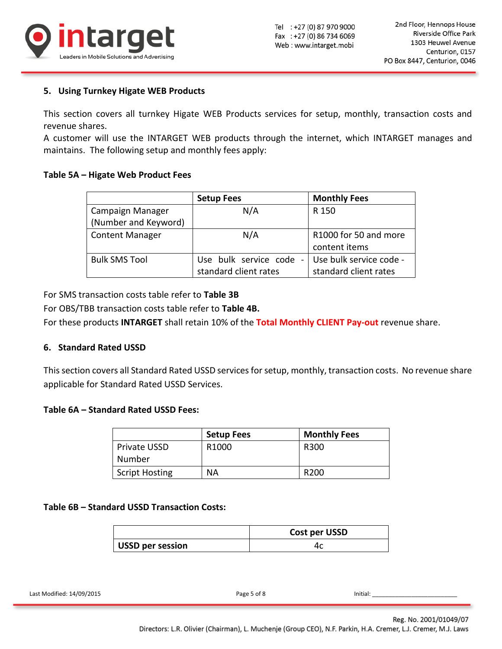

## **5. Using Turnkey Higate WEB Products**

This section covers all turnkey Higate WEB Products services for setup, monthly, transaction costs and revenue shares.

A customer will use the INTARGET WEB products through the internet, which INTARGET manages and maintains. The following setup and monthly fees apply:

### **Table 5A – Higate Web Product Fees**

|                        | <b>Setup Fees</b>                                     | <b>Monthly Fees</b>     |
|------------------------|-------------------------------------------------------|-------------------------|
| Campaign Manager       | N/A                                                   | R 150                   |
| (Number and Keyword)   |                                                       |                         |
| <b>Content Manager</b> | N/A                                                   | R1000 for 50 and more   |
|                        |                                                       | content items           |
| <b>Bulk SMS Tool</b>   | Use bulk service code<br>$\qquad \qquad \blacksquare$ | Use bulk service code - |
|                        | standard client rates                                 | standard client rates   |

For SMS transaction costs table refer to **Table 3B**

For OBS/TBB transaction costs table refer to **Table 4B.**

For these products **INTARGET** shall retain 10% of the **Total Monthly CLIENT Pay-out** revenue share.

### **6. Standard Rated USSD**

This section covers all Standard Rated USSD services for setup, monthly, transaction costs. No revenue share applicable for Standard Rated USSD Services.

### **Table 6A – Standard Rated USSD Fees:**

|                       | <b>Setup Fees</b> | <b>Monthly Fees</b> |
|-----------------------|-------------------|---------------------|
| <b>Private USSD</b>   | R <sub>1000</sub> | R300                |
| Number                |                   |                     |
| <b>Script Hosting</b> | <b>NA</b>         | R <sub>200</sub>    |

### **Table 6B – Standard USSD Transaction Costs:**

|                  | Cost per USSD |
|------------------|---------------|
| USSD per session |               |

Last Modified: 14/09/2015 **Page 5 of 8** Initial: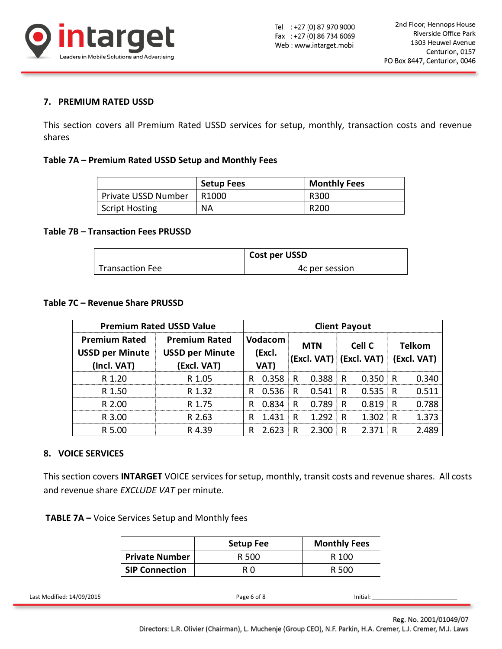

## **7. PREMIUM RATED USSD**

This section covers all Premium Rated USSD services for setup, monthly, transaction costs and revenue shares

#### **Table 7A – Premium Rated USSD Setup and Monthly Fees**

|                       | <b>Setup Fees</b> | <b>Monthly Fees</b> |
|-----------------------|-------------------|---------------------|
| Private USSD Number   | R <sub>1000</sub> | R300                |
| <b>Script Hosting</b> | <b>NA</b>         | R <sub>200</sub>    |

#### **Table 7B – Transaction Fees PRUSSD**

|                        | Cost per USSD  |
|------------------------|----------------|
| <b>Transaction Fee</b> | 4c per session |

### **Table 7C – Revenue Share PRUSSD**

| <b>Premium Rated USSD Value</b>                                                                                                     |                       |                        | <b>Client Payout</b> |                |              |                         |              |        |              |               |
|-------------------------------------------------------------------------------------------------------------------------------------|-----------------------|------------------------|----------------------|----------------|--------------|-------------------------|--------------|--------|--------------|---------------|
| <b>Premium Rated</b>                                                                                                                |                       | <b>Premium Rated</b>   |                      | Vodacom        |              | <b>MTN</b>              |              | Cell C |              | <b>Telkom</b> |
| <b>USSD per Minute</b>                                                                                                              |                       | <b>USSD per Minute</b> |                      | (Excl.         |              |                         |              |        |              |               |
| (Incl. VAT)                                                                                                                         |                       | (Excl. VAT)            |                      | VAT)           |              | (Excl. VAT) (Excl. VAT) |              |        |              | (Excl. VAT)   |
| R 1.20                                                                                                                              |                       | R 1.05                 | R                    | 0.358          | R            | 0.388                   | $\mathsf{R}$ | 0.350  | $\mathsf{R}$ | 0.340         |
| R 1.50                                                                                                                              |                       | R 1.32                 |                      | R 0.536        | R            | 0.541                   | R            | 0.535  | $\mathsf R$  | 0.511         |
| R 2.00                                                                                                                              |                       | R 1.75                 | R.                   | 0.834          | R            | 0.789                   | R.           | 0.819  | $\mathsf R$  | 0.788         |
| R 3.00                                                                                                                              |                       | R 2.63                 | R                    | 1.431          | $\mathsf{R}$ | 1.292                   | R            | 1.302  | $\mathsf{R}$ | 1.373         |
| R 5.00                                                                                                                              |                       | R 4.39                 | R.                   | $2.623 \mid R$ |              | 2.300                   | R            | 2.371  | ∫ R          | 2.489         |
| 8. VOICE SERVICES<br>This section covers INTARGET VOICE services for setup, monthly, transit costs and revenue shares. All containe |                       |                        |                      |                |              |                         |              |        |              |               |
| and revenue share EXCLUDE VAT per minute.<br><b>TABLE 7A – Voice Services Setup and Monthly fees</b>                                |                       |                        |                      |                |              |                         |              |        |              |               |
|                                                                                                                                     |                       | <b>Setup Fee</b>       |                      |                |              | <b>Monthly Fees</b>     |              |        |              |               |
|                                                                                                                                     | <b>Private Number</b> |                        | R 500                |                |              |                         | R 100        |        |              |               |

### **8. VOICE SERVICES**

|                       | <b>Setup Fee</b> | <b>Monthly Fees</b> |
|-----------------------|------------------|---------------------|
| <b>Private Number</b> | R 500            | R 100               |
| <b>SIP Connection</b> | R O              | R 500               |

| $\cdots$<br>14/09/2015<br>Last Modified: | Initial: |
|------------------------------------------|----------|
|                                          |          |

Reg. No. 2001/01049/07

Directors: L.R. Olivier (Chairman), L. Muchenje (Group CEO), N.F. Parkin, H.A. Cremer, L.J. Cremer, M.J. Laws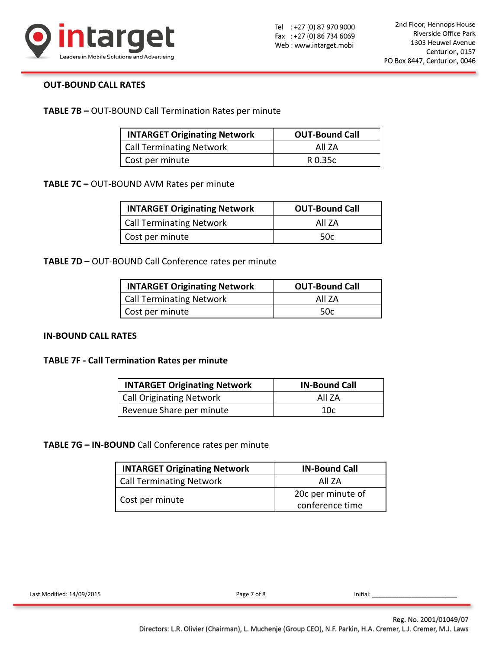

### **OUT-BOUND CALL RATES**

**TABLE 7B –** OUT-BOUND Call Termination Rates per minute

| <b>INTARGET Originating Network</b> | <b>OUT-Bound Call</b> |
|-------------------------------------|-----------------------|
| <b>Call Terminating Network</b>     | All 7A                |
| Cost per minute                     | R 0.35c               |

**TABLE 7C –** OUT-BOUND AVM Rates per minute

| <b>INTARGET Originating Network</b> | <b>OUT-Bound Call</b> |  |  |
|-------------------------------------|-----------------------|--|--|
| <b>Call Terminating Network</b>     | All 7A                |  |  |
| Cost per minute                     | 50c                   |  |  |

**TABLE 7D –** OUT-BOUND Call Conference rates per minute

| <b>INTARGET Originating Network</b> | <b>OUT-Bound Call</b> |
|-------------------------------------|-----------------------|
| <b>Call Terminating Network</b>     | All 7A                |
| Cost per minute                     | .50c                  |

### **IN-BOUND CALL RATES**

#### **TABLE 7F - Call Termination Rates per minute**

| <b>INTARGET Originating Network</b> | <b>IN-Bound Call</b> |
|-------------------------------------|----------------------|
| <b>Call Originating Network</b>     | All 7A               |
| Revenue Share per minute            | 10c                  |

**TABLE 7G – IN-BOUND** Call Conference rates per minute

| <b>INTARGET Originating Network</b> | <b>IN-Bound Call</b> |  |  |
|-------------------------------------|----------------------|--|--|
| <b>Call Terminating Network</b>     | All 7A               |  |  |
| Cost per minute                     | 20c per minute of    |  |  |
|                                     | conference time      |  |  |